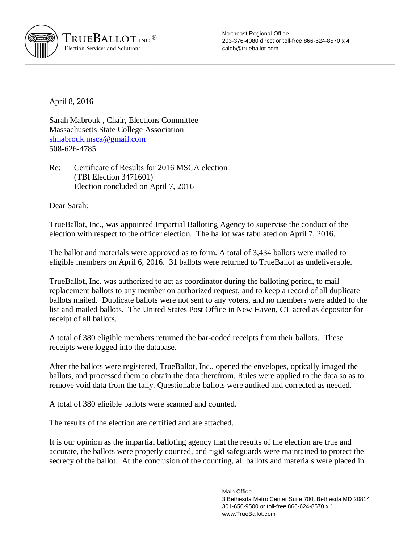

Northeast Regional Office 203-376-4080 direct or toll-free 866-624-8570 x 4 [caleb@trueballot.com](mailto:caleb@trueballot.com)

April 8, 2016

Sarah Mabrouk , Chair, Elections Committee Massachusetts State College Association [slmabrouk.msca@gmail.com](mailto:slmabrouk.msca@gmail.com) 508-626-4785

Re: Certificate of Results for 2016 MSCA election (TBI Election 3471601) Election concluded on April 7, 2016

Dear Sarah:

TrueBallot, Inc., was appointed Impartial Balloting Agency to supervise the conduct of the election with respect to the officer election. The ballot was tabulated on April 7, 2016.

The ballot and materials were approved as to form. A total of 3,434 ballots were mailed to eligible members on April 6, 2016. 31 ballots were returned to TrueBallot as undeliverable.

TrueBallot, Inc. was authorized to act as coordinator during the balloting period, to mail replacement ballots to any member on authorized request, and to keep a record of all duplicate ballots mailed. Duplicate ballots were not sent to any voters, and no members were added to the list and mailed ballots. The United States Post Office in New Haven, CT acted as depositor for receipt of all ballots.

A total of 380 eligible members returned the bar-coded receipts from their ballots. These receipts were logged into the database.

After the ballots were registered, TrueBallot, Inc., opened the envelopes, optically imaged the ballots, and processed them to obtain the data therefrom. Rules were applied to the data so as to remove void data from the tally. Questionable ballots were audited and corrected as needed.

A total of 380 eligible ballots were scanned and counted.

The results of the election are certified and are attached.

It is our opinion as the impartial balloting agency that the results of the election are true and accurate, the ballots were properly counted, and rigid safeguards were maintained to protect the secrecy of the ballot. At the conclusion of the counting, all ballots and materials were placed in

> Main Office 3 Bethesda Metro Center Suite 700, Bethesda MD 20814 301-656-9500 or toll-free 866-624-8570 x 1 [www.TrueBallot.com](http://www.TrueBallot.com)